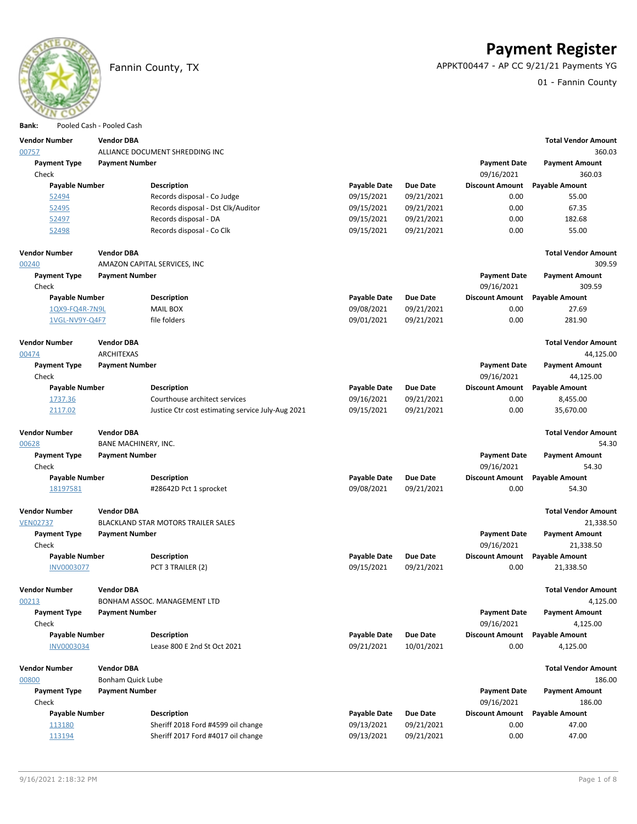

# **Payment Register**

Fannin County, TX APPKT00447 - AP CC 9/21/21 Payments YG

01 - Fannin County

| DdIIK.                | POOJEG CASH - POOJEG CASH |                                                   |                     |                 |                        |                            |
|-----------------------|---------------------------|---------------------------------------------------|---------------------|-----------------|------------------------|----------------------------|
| <b>Vendor Number</b>  | <b>Vendor DBA</b>         |                                                   |                     |                 |                        | <b>Total Vendor Amount</b> |
| 00757                 |                           | ALLIANCE DOCUMENT SHREDDING INC                   |                     |                 |                        | 360.03                     |
| <b>Payment Type</b>   | <b>Payment Number</b>     |                                                   |                     |                 | <b>Payment Date</b>    | <b>Payment Amount</b>      |
| Check                 |                           |                                                   |                     |                 | 09/16/2021             | 360.03                     |
| <b>Payable Number</b> |                           | <b>Description</b>                                | <b>Payable Date</b> | <b>Due Date</b> | <b>Discount Amount</b> | <b>Payable Amount</b>      |
| 52494                 |                           | Records disposal - Co Judge                       | 09/15/2021          | 09/21/2021      | 0.00                   | 55.00                      |
| 52495                 |                           | Records disposal - Dst Clk/Auditor                | 09/15/2021          | 09/21/2021      | 0.00                   | 67.35                      |
| 52497                 |                           | Records disposal - DA                             | 09/15/2021          | 09/21/2021      | 0.00                   | 182.68                     |
| 52498                 |                           | Records disposal - Co Clk                         | 09/15/2021          | 09/21/2021      | 0.00                   | 55.00                      |
|                       |                           |                                                   |                     |                 |                        |                            |
| <b>Vendor Number</b>  | <b>Vendor DBA</b>         |                                                   |                     |                 |                        | <b>Total Vendor Amount</b> |
| 00240                 |                           | AMAZON CAPITAL SERVICES, INC                      |                     |                 |                        | 309.59                     |
| <b>Payment Type</b>   | <b>Payment Number</b>     |                                                   |                     |                 | <b>Payment Date</b>    | <b>Payment Amount</b>      |
| Check                 |                           |                                                   |                     |                 | 09/16/2021             | 309.59                     |
| <b>Payable Number</b> |                           | <b>Description</b>                                | <b>Payable Date</b> | <b>Due Date</b> | <b>Discount Amount</b> | <b>Payable Amount</b>      |
| 1QX9-FQ4R-7N9L        |                           | <b>MAIL BOX</b>                                   | 09/08/2021          | 09/21/2021      | 0.00                   | 27.69                      |
| 1VGL-NV9Y-Q4F7        |                           | file folders                                      | 09/01/2021          | 09/21/2021      | 0.00                   | 281.90                     |
|                       |                           |                                                   |                     |                 |                        |                            |
| <b>Vendor Number</b>  | <b>Vendor DBA</b>         |                                                   |                     |                 |                        | <b>Total Vendor Amount</b> |
| 00474                 | ARCHITEXAS                |                                                   |                     |                 |                        | 44,125.00                  |
| <b>Payment Type</b>   | <b>Payment Number</b>     |                                                   |                     |                 | <b>Payment Date</b>    | <b>Payment Amount</b>      |
| Check                 |                           |                                                   |                     |                 | 09/16/2021             | 44,125.00                  |
| Payable Number        |                           | <b>Description</b>                                | <b>Payable Date</b> | <b>Due Date</b> | <b>Discount Amount</b> | <b>Payable Amount</b>      |
| 1737.36               |                           | Courthouse architect services                     | 09/16/2021          | 09/21/2021      | 0.00                   | 8,455.00                   |
| 2117.02               |                           | Justice Ctr cost estimating service July-Aug 2021 | 09/15/2021          | 09/21/2021      | 0.00                   | 35,670.00                  |
|                       |                           |                                                   |                     |                 |                        |                            |
| <b>Vendor Number</b>  | <b>Vendor DBA</b>         |                                                   |                     |                 |                        | <b>Total Vendor Amount</b> |
| 00628                 | BANE MACHINERY, INC.      |                                                   |                     |                 |                        | 54.30                      |
| <b>Payment Type</b>   | <b>Payment Number</b>     |                                                   |                     |                 | <b>Payment Date</b>    | <b>Payment Amount</b>      |
| Check                 |                           |                                                   |                     |                 | 09/16/2021             | 54.30                      |
| Payable Number        |                           | <b>Description</b>                                | <b>Payable Date</b> | <b>Due Date</b> | <b>Discount Amount</b> | <b>Payable Amount</b>      |
| 18197581              |                           | #28642D Pct 1 sprocket                            | 09/08/2021          | 09/21/2021      | 0.00                   | 54.30                      |
|                       |                           |                                                   |                     |                 |                        |                            |
| <b>Vendor Number</b>  | <b>Vendor DBA</b>         |                                                   |                     |                 |                        | <b>Total Vendor Amount</b> |
| <b>VEN02737</b>       |                           | BLACKLAND STAR MOTORS TRAILER SALES               |                     |                 |                        | 21,338.50                  |
| <b>Payment Type</b>   | <b>Payment Number</b>     |                                                   |                     |                 | <b>Payment Date</b>    | <b>Payment Amount</b>      |
| Check                 |                           |                                                   |                     |                 | 09/16/2021             | 21,338.50                  |
| <b>Payable Number</b> |                           | <b>Description</b>                                | <b>Payable Date</b> | <b>Due Date</b> | <b>Discount Amount</b> | <b>Payable Amount</b>      |
| <b>INV0003077</b>     |                           | PCT 3 TRAILER (2)                                 | 09/15/2021          | 09/21/2021      | 0.00                   | 21,338.50                  |
|                       |                           |                                                   |                     |                 |                        |                            |
| <b>Vendor Number</b>  | <b>Vendor DBA</b>         |                                                   |                     |                 |                        | <b>Total Vendor Amount</b> |
| 00213                 |                           | BONHAM ASSOC. MANAGEMENT LTD                      |                     |                 |                        | 4,125.00                   |
| <b>Payment Type</b>   | <b>Payment Number</b>     |                                                   |                     |                 | <b>Payment Date</b>    | <b>Payment Amount</b>      |
| Check                 |                           |                                                   |                     |                 | 09/16/2021             | 4,125.00                   |
| Payable Number        |                           | <b>Description</b>                                | <b>Payable Date</b> | <b>Due Date</b> | <b>Discount Amount</b> | <b>Payable Amount</b>      |
| <b>INV0003034</b>     |                           | Lease 800 E 2nd St Oct 2021                       | 09/21/2021          | 10/01/2021      | 0.00                   | 4,125.00                   |
|                       |                           |                                                   |                     |                 |                        |                            |
| <b>Vendor Number</b>  | <b>Vendor DBA</b>         |                                                   |                     |                 |                        | <b>Total Vendor Amount</b> |
| 00800                 | Bonham Quick Lube         |                                                   |                     |                 |                        | 186.00                     |
| <b>Payment Type</b>   | <b>Payment Number</b>     |                                                   |                     |                 | <b>Payment Date</b>    | <b>Payment Amount</b>      |
| Check                 |                           |                                                   |                     |                 | 09/16/2021             | 186.00                     |
| <b>Payable Number</b> |                           | <b>Description</b>                                | <b>Payable Date</b> | <b>Due Date</b> | <b>Discount Amount</b> | <b>Payable Amount</b>      |
| 113180                |                           | Sheriff 2018 Ford #4599 oil change                | 09/13/2021          | 09/21/2021      | 0.00                   | 47.00                      |
| 113194                |                           | Sheriff 2017 Ford #4017 oil change                | 09/13/2021          | 09/21/2021      | 0.00                   | 47.00                      |
|                       |                           |                                                   |                     |                 |                        |                            |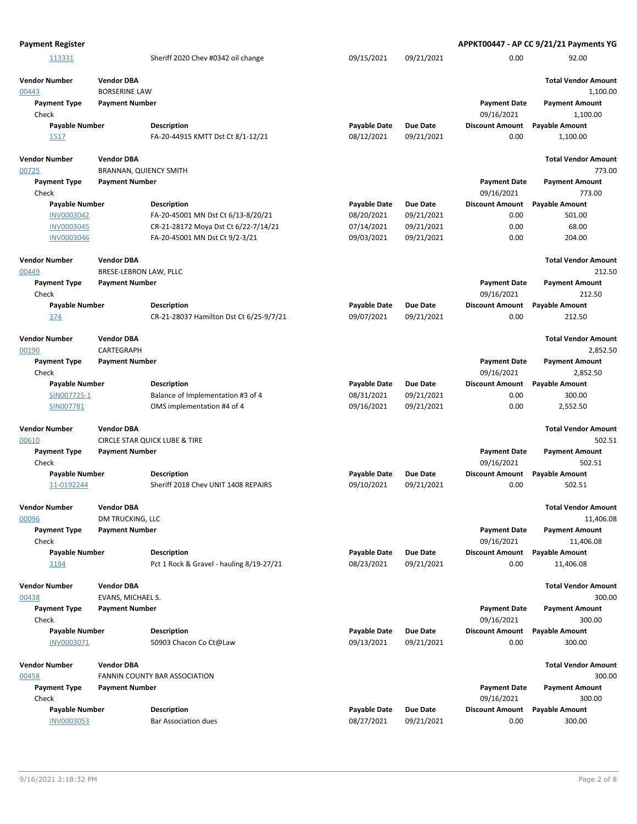| <b>Payment Register</b>             |                                                    |                                                                |                                   |                               |                                   | APPKT00447 - AP CC 9/21/21 Payments YG |
|-------------------------------------|----------------------------------------------------|----------------------------------------------------------------|-----------------------------------|-------------------------------|-----------------------------------|----------------------------------------|
| 113331                              |                                                    | Sheriff 2020 Chev #0342 oil change                             | 09/15/2021                        | 09/21/2021                    | 0.00                              | 92.00                                  |
| <b>Vendor Number</b><br>00443       | <b>Vendor DBA</b><br><b>BORSERINE LAW</b>          |                                                                |                                   |                               |                                   | <b>Total Vendor Amount</b><br>1,100.00 |
| <b>Payment Type</b><br>Check        | <b>Payment Number</b>                              |                                                                |                                   |                               | <b>Payment Date</b><br>09/16/2021 | <b>Payment Amount</b><br>1,100.00      |
| <b>Payable Number</b><br>1517       |                                                    | Description<br>FA-20-44915 KMTT Dst Ct 8/1-12/21               | <b>Payable Date</b><br>08/12/2021 | <b>Due Date</b><br>09/21/2021 | <b>Discount Amount</b><br>0.00    | <b>Payable Amount</b><br>1,100.00      |
| <b>Vendor Number</b><br>00725       | <b>Vendor DBA</b><br><b>BRANNAN, QUIENCY SMITH</b> |                                                                |                                   |                               |                                   | <b>Total Vendor Amount</b><br>773.00   |
| <b>Payment Type</b><br>Check        | <b>Payment Number</b>                              |                                                                |                                   |                               | <b>Payment Date</b><br>09/16/2021 | Payment Amount<br>773.00               |
| <b>Payable Number</b>               |                                                    | <b>Description</b>                                             | <b>Payable Date</b>               | <b>Due Date</b>               | <b>Discount Amount</b>            | <b>Payable Amount</b>                  |
| <b>INV0003042</b>                   |                                                    | FA-20-45001 MN Dst Ct 6/13-8/20/21                             | 08/20/2021                        | 09/21/2021                    | 0.00                              | 501.00                                 |
| <b>INV0003045</b>                   |                                                    | CR-21-28172 Moya Dst Ct 6/22-7/14/21                           | 07/14/2021                        | 09/21/2021                    | 0.00                              | 68.00                                  |
| INV0003046                          |                                                    | FA-20-45001 MN Dst Ct 9/2-3/21                                 | 09/03/2021                        | 09/21/2021                    | 0.00                              | 204.00                                 |
| <b>Vendor Number</b><br>00449       | <b>Vendor DBA</b><br>BRESE-LEBRON LAW, PLLC        |                                                                |                                   |                               |                                   | <b>Total Vendor Amount</b><br>212.50   |
| <b>Payment Type</b>                 | <b>Payment Number</b>                              |                                                                |                                   |                               | <b>Payment Date</b>               | <b>Payment Amount</b>                  |
| Check                               |                                                    |                                                                |                                   |                               | 09/16/2021                        | 212.50                                 |
| <b>Payable Number</b>               |                                                    | <b>Description</b>                                             | <b>Payable Date</b>               | <b>Due Date</b>               | <b>Discount Amount</b>            | <b>Payable Amount</b>                  |
| 374                                 |                                                    | CR-21-28037 Hamilton Dst Ct 6/25-9/7/21                        | 09/07/2021                        | 09/21/2021                    | 0.00                              | 212.50                                 |
| <b>Vendor Number</b><br>00190       | <b>Vendor DBA</b><br>CARTEGRAPH                    |                                                                |                                   |                               |                                   | <b>Total Vendor Amount</b><br>2,852.50 |
| <b>Payment Type</b>                 | <b>Payment Number</b>                              |                                                                |                                   |                               |                                   | <b>Payment Amount</b>                  |
| Check                               |                                                    |                                                                |                                   |                               | <b>Payment Date</b><br>09/16/2021 | 2,852.50                               |
| <b>Payable Number</b>               |                                                    | <b>Description</b>                                             | <b>Payable Date</b>               | <b>Due Date</b>               | <b>Discount Amount</b>            | <b>Payable Amount</b>                  |
| SIN007725-1                         |                                                    | Balance of Implementation #3 of 4                              | 08/31/2021                        | 09/21/2021                    | 0.00                              | 300.00                                 |
| SIN007781                           |                                                    | OMS implementation #4 of 4                                     | 09/16/2021                        | 09/21/2021                    | 0.00                              | 2,552.50                               |
| <b>Vendor Number</b>                | <b>Vendor DBA</b>                                  |                                                                |                                   |                               |                                   | <b>Total Vendor Amount</b>             |
| 00610                               |                                                    | <b>CIRCLE STAR QUICK LUBE &amp; TIRE</b>                       |                                   |                               |                                   | 502.51                                 |
| <b>Payment Type</b><br>Check        | <b>Payment Number</b>                              |                                                                |                                   |                               | <b>Payment Date</b><br>09/16/2021 | <b>Payment Amount</b><br>502.51        |
| <b>Payable Number</b><br>11-0192244 |                                                    | Description<br>Sheriff 2018 Chev UNIT 1408 REPAIRS             | <b>Payable Date</b><br>09/10/2021 | <b>Due Date</b><br>09/21/2021 | <b>Discount Amount</b><br>0.00    | <b>Payable Amount</b><br>502.51        |
| <b>Vendor Number</b>                | <b>Vendor DBA</b>                                  |                                                                |                                   |                               |                                   | <b>Total Vendor Amount</b>             |
| 00096                               | DM TRUCKING, LLC                                   |                                                                |                                   |                               |                                   | 11,406.08                              |
| <b>Payment Type</b>                 | <b>Payment Number</b>                              |                                                                |                                   |                               | <b>Payment Date</b>               | <b>Payment Amount</b>                  |
| Check                               |                                                    |                                                                |                                   |                               | 09/16/2021                        | 11,406.08                              |
| <b>Payable Number</b><br>3194       |                                                    | <b>Description</b><br>Pct 1 Rock & Gravel - hauling 8/19-27/21 | <b>Payable Date</b><br>08/23/2021 | <b>Due Date</b><br>09/21/2021 | <b>Discount Amount</b><br>0.00    | <b>Payable Amount</b><br>11,406.08     |
| <b>Vendor Number</b>                | <b>Vendor DBA</b>                                  |                                                                |                                   |                               |                                   | <b>Total Vendor Amount</b>             |
| 00438                               | EVANS, MICHAEL S.                                  |                                                                |                                   |                               |                                   | 300.00                                 |
| <b>Payment Type</b><br>Check        | <b>Payment Number</b>                              |                                                                |                                   |                               | <b>Payment Date</b><br>09/16/2021 | <b>Payment Amount</b><br>300.00        |
| <b>Payable Number</b><br>INV0003071 |                                                    | Description<br>50903 Chacon Co Ct@Law                          | <b>Payable Date</b><br>09/13/2021 | <b>Due Date</b><br>09/21/2021 | <b>Discount Amount</b><br>0.00    | <b>Payable Amount</b><br>300.00        |
| <b>Vendor Number</b>                | <b>Vendor DBA</b>                                  |                                                                |                                   |                               |                                   | <b>Total Vendor Amount</b>             |
| 00458                               |                                                    | FANNIN COUNTY BAR ASSOCIATION                                  |                                   |                               |                                   | 300.00                                 |
| <b>Payment Type</b>                 | <b>Payment Number</b>                              |                                                                |                                   |                               | <b>Payment Date</b>               | <b>Payment Amount</b>                  |
| Check                               |                                                    |                                                                |                                   |                               | 09/16/2021                        | 300.00                                 |
| Payable Number                      |                                                    | <b>Description</b>                                             | <b>Payable Date</b>               | <b>Due Date</b>               | <b>Discount Amount</b>            | <b>Payable Amount</b>                  |
| <b>INV0003053</b>                   |                                                    | <b>Bar Association dues</b>                                    | 08/27/2021                        | 09/21/2021                    | 0.00                              | 300.00                                 |
|                                     |                                                    |                                                                |                                   |                               |                                   |                                        |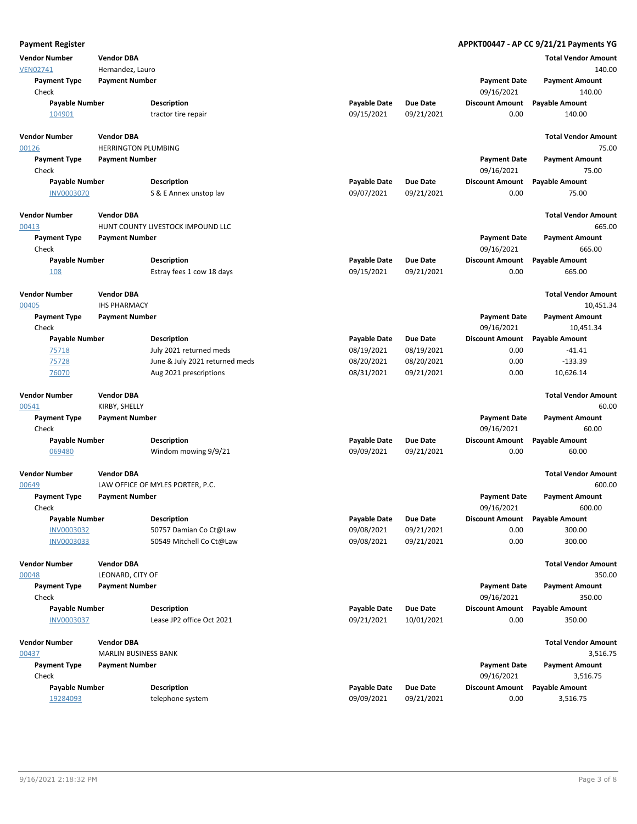| <b>Payment Register</b>      |                             |                                   |                     |                 |                                   | APPKT00447 - AP CC 9/21/21 Payments YG |
|------------------------------|-----------------------------|-----------------------------------|---------------------|-----------------|-----------------------------------|----------------------------------------|
| <b>Vendor Number</b>         | <b>Vendor DBA</b>           |                                   |                     |                 |                                   | <b>Total Vendor Amount</b>             |
| <b>VEN02741</b>              | Hernandez, Lauro            |                                   |                     |                 |                                   | 140.00                                 |
| <b>Payment Type</b>          | <b>Payment Number</b>       |                                   |                     |                 | <b>Payment Date</b>               | <b>Payment Amount</b>                  |
| Check                        |                             |                                   |                     |                 | 09/16/2021                        | 140.00                                 |
| <b>Payable Number</b>        |                             | <b>Description</b>                | <b>Payable Date</b> | <b>Due Date</b> | <b>Discount Amount</b>            | <b>Payable Amount</b>                  |
| 104901                       |                             | tractor tire repair               | 09/15/2021          | 09/21/2021      | 0.00                              | 140.00                                 |
| <b>Vendor Number</b>         | <b>Vendor DBA</b>           |                                   |                     |                 |                                   | <b>Total Vendor Amount</b>             |
| 00126                        | <b>HERRINGTON PLUMBING</b>  |                                   |                     |                 |                                   | 75.00                                  |
| <b>Payment Type</b>          | <b>Payment Number</b>       |                                   |                     |                 | <b>Payment Date</b>               | <b>Payment Amount</b>                  |
| Check                        |                             |                                   |                     |                 | 09/16/2021                        | 75.00                                  |
| <b>Payable Number</b>        |                             | <b>Description</b>                | <b>Payable Date</b> | <b>Due Date</b> | <b>Discount Amount</b>            | <b>Payable Amount</b>                  |
| <b>INV0003070</b>            |                             | S & E Annex unstop lav            | 09/07/2021          | 09/21/2021      | 0.00                              | 75.00                                  |
| <b>Vendor Number</b>         | <b>Vendor DBA</b>           |                                   |                     |                 |                                   | <b>Total Vendor Amount</b>             |
| 00413                        |                             | HUNT COUNTY LIVESTOCK IMPOUND LLC |                     |                 |                                   | 665.00                                 |
| <b>Payment Type</b><br>Check | <b>Payment Number</b>       |                                   |                     |                 | <b>Payment Date</b><br>09/16/2021 | <b>Payment Amount</b><br>665.00        |
| <b>Payable Number</b>        |                             | <b>Description</b>                | <b>Payable Date</b> | Due Date        | <b>Discount Amount</b>            | <b>Payable Amount</b>                  |
| 108                          |                             | Estray fees 1 cow 18 days         | 09/15/2021          | 09/21/2021      | 0.00                              | 665.00                                 |
| <b>Vendor Number</b>         | <b>Vendor DBA</b>           |                                   |                     |                 |                                   | <b>Total Vendor Amount</b>             |
| 00405                        | <b>IHS PHARMACY</b>         |                                   |                     |                 |                                   | 10,451.34                              |
| <b>Payment Type</b><br>Check | <b>Payment Number</b>       |                                   |                     |                 | <b>Payment Date</b><br>09/16/2021 | <b>Payment Amount</b><br>10,451.34     |
| <b>Payable Number</b>        |                             | <b>Description</b>                | <b>Payable Date</b> | Due Date        | <b>Discount Amount</b>            | <b>Payable Amount</b>                  |
| 75718                        |                             | July 2021 returned meds           | 08/19/2021          | 08/19/2021      | 0.00                              | $-41.41$                               |
| 75728                        |                             | June & July 2021 returned meds    | 08/20/2021          | 08/20/2021      | 0.00                              | $-133.39$                              |
| 76070                        |                             | Aug 2021 prescriptions            | 08/31/2021          | 09/21/2021      | 0.00                              | 10,626.14                              |
|                              |                             |                                   |                     |                 |                                   |                                        |
| <b>Vendor Number</b>         | <b>Vendor DBA</b>           |                                   |                     |                 |                                   | <b>Total Vendor Amount</b>             |
| 00541                        | KIRBY, SHELLY               |                                   |                     |                 |                                   | 60.00                                  |
| <b>Payment Type</b><br>Check | <b>Payment Number</b>       |                                   |                     |                 | <b>Payment Date</b><br>09/16/2021 | <b>Payment Amount</b><br>60.00         |
| <b>Payable Number</b>        |                             | <b>Description</b>                | <b>Payable Date</b> | <b>Due Date</b> | <b>Discount Amount</b>            | <b>Payable Amount</b>                  |
| 069480                       |                             | Windom mowing 9/9/21              | 09/09/2021          | 09/21/2021      | 0.00                              | 60.00                                  |
| <b>Vendor Number</b>         | <b>Vendor DBA</b>           |                                   |                     |                 |                                   | <b>Total Vendor Amount</b>             |
| 00649                        |                             | LAW OFFICE OF MYLES PORTER, P.C.  |                     |                 |                                   | 600.00                                 |
| <b>Payment Type</b>          | <b>Payment Number</b>       |                                   |                     |                 | <b>Payment Date</b>               | <b>Payment Amount</b>                  |
| Check                        |                             |                                   |                     |                 | 09/16/2021                        | 600.00                                 |
| <b>Payable Number</b>        |                             | <b>Description</b>                | <b>Payable Date</b> | Due Date        | <b>Discount Amount</b>            | <b>Payable Amount</b>                  |
| <b>INV0003032</b>            |                             | 50757 Damian Co Ct@Law            | 09/08/2021          | 09/21/2021      | 0.00                              | 300.00                                 |
| INV0003033                   |                             | 50549 Mitchell Co Ct@Law          | 09/08/2021          | 09/21/2021      | 0.00                              | 300.00                                 |
| <b>Vendor Number</b>         | <b>Vendor DBA</b>           |                                   |                     |                 |                                   | <b>Total Vendor Amount</b>             |
| 00048                        | LEONARD, CITY OF            |                                   |                     |                 |                                   | 350.00                                 |
| <b>Payment Type</b>          | <b>Payment Number</b>       |                                   |                     |                 | <b>Payment Date</b>               | <b>Payment Amount</b>                  |
| Check                        |                             |                                   |                     |                 | 09/16/2021                        | 350.00                                 |
| <b>Payable Number</b>        |                             | <b>Description</b>                | <b>Payable Date</b> | <b>Due Date</b> | <b>Discount Amount</b>            | <b>Payable Amount</b>                  |
| INV0003037                   |                             | Lease JP2 office Oct 2021         | 09/21/2021          | 10/01/2021      | 0.00                              | 350.00                                 |
| <b>Vendor Number</b>         | <b>Vendor DBA</b>           |                                   |                     |                 |                                   | <b>Total Vendor Amount</b>             |
| 00437                        | <b>MARLIN BUSINESS BANK</b> |                                   |                     |                 |                                   | 3,516.75                               |
| <b>Payment Type</b>          | <b>Payment Number</b>       |                                   |                     |                 | <b>Payment Date</b>               | <b>Payment Amount</b>                  |
| Check                        |                             |                                   |                     |                 | 09/16/2021                        | 3,516.75                               |
| <b>Payable Number</b>        |                             | <b>Description</b>                | <b>Payable Date</b> | <b>Due Date</b> | <b>Discount Amount</b>            | <b>Payable Amount</b>                  |
| 19284093                     |                             | telephone system                  | 09/09/2021          | 09/21/2021      | 0.00                              | 3,516.75                               |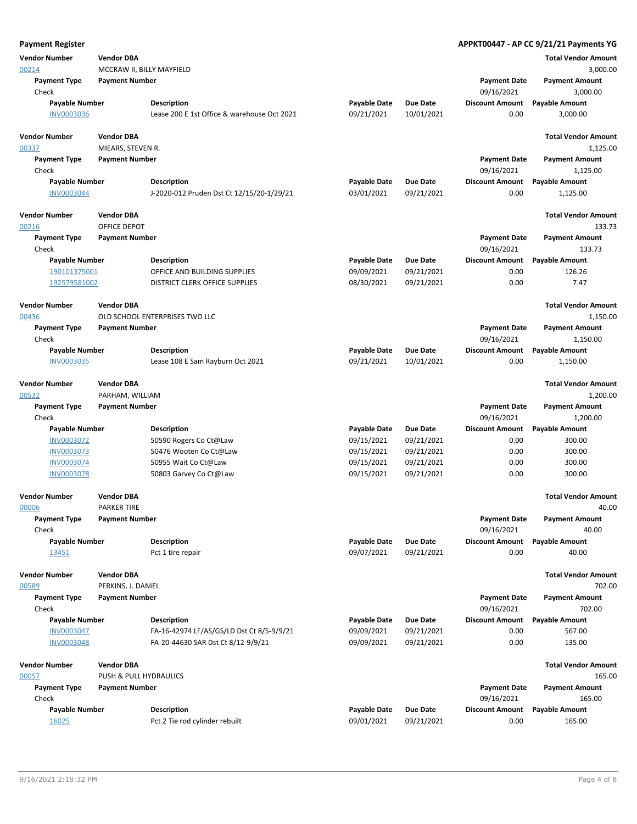| <b>Payment Register</b>      |                           |                                             |                     |                 |                                   | APPKT00447 - AP CC 9/21/21 Payments YG |
|------------------------------|---------------------------|---------------------------------------------|---------------------|-----------------|-----------------------------------|----------------------------------------|
| <b>Vendor Number</b>         | <b>Vendor DBA</b>         |                                             |                     |                 |                                   | <b>Total Vendor Amount</b>             |
| 00214                        | MCCRAW II, BILLY MAYFIELD |                                             |                     |                 |                                   | 3,000.00                               |
| <b>Payment Type</b>          | <b>Payment Number</b>     |                                             |                     |                 | <b>Payment Date</b>               | <b>Payment Amount</b>                  |
| Check                        |                           |                                             |                     |                 | 09/16/2021                        | 3,000.00                               |
| <b>Payable Number</b>        |                           | <b>Description</b>                          | <b>Payable Date</b> | <b>Due Date</b> | <b>Discount Amount</b>            | <b>Payable Amount</b>                  |
| INV0003036                   |                           | Lease 200 E 1st Office & warehouse Oct 2021 | 09/21/2021          | 10/01/2021      | 0.00                              | 3,000.00                               |
| <b>Vendor Number</b>         | <b>Vendor DBA</b>         |                                             |                     |                 |                                   | <b>Total Vendor Amount</b>             |
| 00337                        | MIEARS, STEVEN R.         |                                             |                     |                 |                                   | 1,125.00                               |
| <b>Payment Type</b>          | <b>Payment Number</b>     |                                             |                     |                 | <b>Payment Date</b>               | <b>Payment Amount</b>                  |
| Check                        |                           |                                             |                     |                 | 09/16/2021                        | 1,125.00                               |
| <b>Payable Number</b>        |                           | <b>Description</b>                          | <b>Payable Date</b> | <b>Due Date</b> | <b>Discount Amount</b>            | <b>Payable Amount</b>                  |
| <b>INV0003044</b>            |                           | J-2020-012 Pruden Dst Ct 12/15/20-1/29/21   | 03/01/2021          | 09/21/2021      | 0.00                              | 1,125.00                               |
| <b>Vendor Number</b>         | <b>Vendor DBA</b>         |                                             |                     |                 |                                   | <b>Total Vendor Amount</b>             |
| 00216                        | OFFICE DEPOT              |                                             |                     |                 |                                   | 133.73                                 |
| <b>Payment Type</b>          | <b>Payment Number</b>     |                                             |                     |                 | <b>Payment Date</b>               | <b>Payment Amount</b>                  |
| Check                        |                           |                                             |                     |                 | 09/16/2021                        | 133.73                                 |
| Payable Number               |                           | <b>Description</b>                          | <b>Payable Date</b> | <b>Due Date</b> | <b>Discount Amount</b>            | <b>Payable Amount</b>                  |
| 190101375001                 |                           | OFFICE AND BUILDING SUPPLIES                | 09/09/2021          | 09/21/2021      | 0.00                              | 126.26                                 |
| 192579581002                 |                           | DISTRICT CLERK OFFICE SUPPLIES              | 08/30/2021          | 09/21/2021      | 0.00                              | 7.47                                   |
| <b>Vendor Number</b>         | <b>Vendor DBA</b>         |                                             |                     |                 |                                   | <b>Total Vendor Amount</b>             |
| 00436                        |                           | OLD SCHOOL ENTERPRISES TWO LLC              |                     |                 |                                   | 1,150.00                               |
| <b>Payment Type</b>          | <b>Payment Number</b>     |                                             |                     |                 | <b>Payment Date</b>               | <b>Payment Amount</b>                  |
| Check                        |                           |                                             |                     |                 | 09/16/2021                        | 1,150.00                               |
| <b>Payable Number</b>        |                           | <b>Description</b>                          | <b>Payable Date</b> | <b>Due Date</b> | <b>Discount Amount</b>            | <b>Payable Amount</b>                  |
| <b>INV0003035</b>            |                           | Lease 108 E Sam Rayburn Oct 2021            | 09/21/2021          | 10/01/2021      | 0.00                              | 1,150.00                               |
| <b>Vendor Number</b>         | <b>Vendor DBA</b>         |                                             |                     |                 |                                   | <b>Total Vendor Amount</b>             |
| 00532                        | PARHAM, WILLIAM           |                                             |                     |                 |                                   | 1,200.00                               |
| <b>Payment Type</b><br>Check | <b>Payment Number</b>     |                                             |                     |                 | <b>Payment Date</b><br>09/16/2021 | <b>Payment Amount</b><br>1,200.00      |
| Payable Number               |                           | <b>Description</b>                          | <b>Payable Date</b> | Due Date        | <b>Discount Amount</b>            | <b>Payable Amount</b>                  |
| <b>INV0003072</b>            |                           | 50590 Rogers Co Ct@Law                      | 09/15/2021          | 09/21/2021      | 0.00                              | 300.00                                 |
| <b>INV0003073</b>            |                           | 50476 Wooten Co Ct@Law                      | 09/15/2021          | 09/21/2021      | 0.00                              | 300.00                                 |
| <b>INV0003074</b>            |                           | 50955 Wait Co Ct@Law                        | 09/15/2021          | 09/21/2021      | 0.00                              | 300.00                                 |
| <b>INV0003078</b>            |                           | 50803 Garvey Co Ct@Law                      | 09/15/2021          | 09/21/2021      | 0.00                              | 300.00                                 |
| Vendor Number                | <b>Vendor DBA</b>         |                                             |                     |                 |                                   | <b>Total Vendor Amount</b>             |
| 00006                        | <b>PARKER TIRE</b>        |                                             |                     |                 |                                   | 40.00                                  |
| <b>Payment Type</b><br>Check | <b>Payment Number</b>     |                                             |                     |                 | <b>Payment Date</b><br>09/16/2021 | <b>Payment Amount</b><br>40.00         |
| <b>Payable Number</b>        |                           | <b>Description</b>                          | <b>Payable Date</b> | <b>Due Date</b> | <b>Discount Amount</b>            | <b>Payable Amount</b>                  |
| 13451                        |                           | Pct 1 tire repair                           | 09/07/2021          | 09/21/2021      | 0.00                              | 40.00                                  |
| <b>Vendor Number</b>         | <b>Vendor DBA</b>         |                                             |                     |                 |                                   | <b>Total Vendor Amount</b>             |
| 00589                        | PERKINS, J. DANIEL        |                                             |                     |                 |                                   | 702.00                                 |
| <b>Payment Type</b>          | <b>Payment Number</b>     |                                             |                     |                 | <b>Payment Date</b>               | <b>Payment Amount</b>                  |
| Check                        |                           |                                             |                     |                 | 09/16/2021                        | 702.00                                 |
| Payable Number               |                           | <b>Description</b>                          | <b>Payable Date</b> | <b>Due Date</b> | <b>Discount Amount</b>            | <b>Payable Amount</b>                  |
| <b>INV0003047</b>            |                           | FA-16-42974 LF/AS/GS/LD Dst Ct 8/5-9/9/21   | 09/09/2021          | 09/21/2021      | 0.00                              | 567.00                                 |
| <b>INV0003048</b>            |                           | FA-20-44630 SAR Dst Ct 8/12-9/9/21          | 09/09/2021          | 09/21/2021      | 0.00                              | 135.00                                 |
| Vendor Number                | <b>Vendor DBA</b>         |                                             |                     |                 |                                   | <b>Total Vendor Amount</b>             |
| 00057                        | PUSH & PULL HYDRAULICS    |                                             |                     |                 |                                   | 165.00                                 |
| <b>Payment Type</b>          | <b>Payment Number</b>     |                                             |                     |                 | <b>Payment Date</b>               | <b>Payment Amount</b>                  |
| Check                        |                           |                                             |                     |                 | 09/16/2021                        | 165.00                                 |
| <b>Payable Number</b>        |                           | <b>Description</b>                          | <b>Payable Date</b> | <b>Due Date</b> | <b>Discount Amount</b>            | <b>Payable Amount</b>                  |
| <u>16025</u>                 |                           | Pct 2 Tie rod cylinder rebuilt              | 09/01/2021          | 09/21/2021      | 0.00                              | 165.00                                 |
|                              |                           |                                             |                     |                 |                                   |                                        |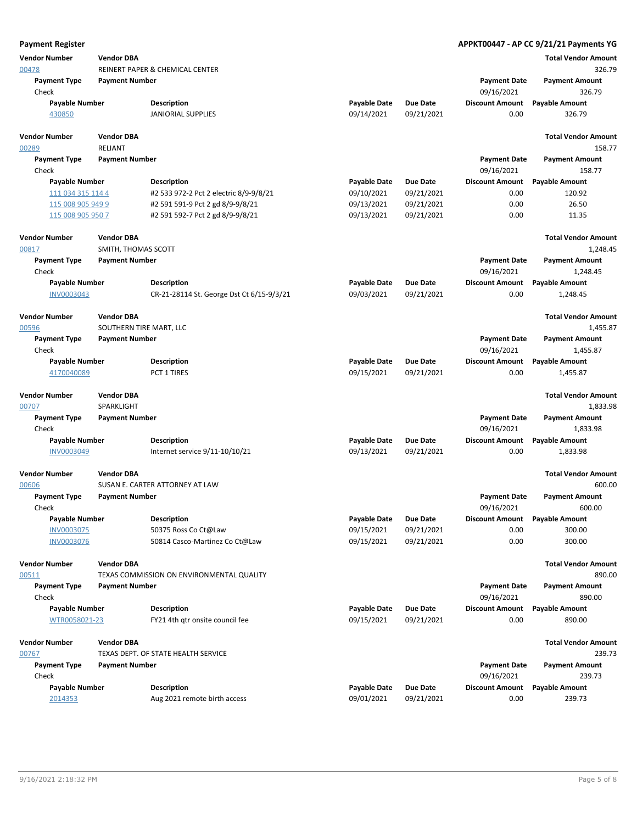| <b>Payment Register</b>       |                                              |                                           |                     |                 |                                   | APPKT00447 - AP CC 9/21/21 Payments YG |
|-------------------------------|----------------------------------------------|-------------------------------------------|---------------------|-----------------|-----------------------------------|----------------------------------------|
| <b>Vendor Number</b>          | <b>Vendor DBA</b>                            |                                           |                     |                 |                                   | <b>Total Vendor Amount</b>             |
| 00478                         |                                              | REINERT PAPER & CHEMICAL CENTER           |                     |                 |                                   | 326.79                                 |
| <b>Payment Type</b>           | <b>Payment Number</b>                        |                                           |                     |                 | <b>Payment Date</b>               | <b>Payment Amount</b>                  |
| Check                         |                                              |                                           |                     |                 | 09/16/2021                        | 326.79                                 |
| <b>Payable Number</b>         |                                              | <b>Description</b>                        | <b>Payable Date</b> | <b>Due Date</b> | <b>Discount Amount</b>            | <b>Payable Amount</b>                  |
| 430850                        |                                              | <b>JANIORIAL SUPPLIES</b>                 | 09/14/2021          | 09/21/2021      | 0.00                              | 326.79                                 |
| <b>Vendor Number</b><br>00289 | <b>Vendor DBA</b><br><b>RELIANT</b>          |                                           |                     |                 |                                   | <b>Total Vendor Amount</b><br>158.77   |
| <b>Payment Type</b>           | <b>Payment Number</b>                        |                                           |                     |                 | <b>Payment Date</b>               | <b>Payment Amount</b>                  |
| Check                         |                                              |                                           |                     |                 | 09/16/2021                        | 158.77                                 |
| <b>Payable Number</b>         |                                              | <b>Description</b>                        | <b>Payable Date</b> | <b>Due Date</b> | <b>Discount Amount</b>            | <b>Payable Amount</b>                  |
| 111 034 315 114 4             |                                              | #2 533 972-2 Pct 2 electric 8/9-9/8/21    | 09/10/2021          | 09/21/2021      | 0.00                              | 120.92                                 |
| 115 008 905 949 9             |                                              | #2 591 591-9 Pct 2 gd 8/9-9/8/21          | 09/13/2021          | 09/21/2021      | 0.00                              | 26.50                                  |
| 115 008 905 950 7             |                                              | #2 591 592-7 Pct 2 gd 8/9-9/8/21          | 09/13/2021          | 09/21/2021      | 0.00                              | 11.35                                  |
| <b>Vendor Number</b>          | <b>Vendor DBA</b>                            |                                           |                     |                 |                                   | <b>Total Vendor Amount</b>             |
| 00817                         | SMITH, THOMAS SCOTT                          |                                           |                     |                 |                                   | 1,248.45                               |
| <b>Payment Type</b>           | <b>Payment Number</b>                        |                                           |                     |                 | <b>Payment Date</b>               | <b>Payment Amount</b>                  |
| Check                         |                                              |                                           |                     |                 | 09/16/2021                        | 1,248.45                               |
| <b>Payable Number</b>         |                                              | <b>Description</b>                        | <b>Payable Date</b> | <b>Due Date</b> | <b>Discount Amount</b>            | <b>Payable Amount</b>                  |
| <b>INV0003043</b>             |                                              | CR-21-28114 St. George Dst Ct 6/15-9/3/21 | 09/03/2021          | 09/21/2021      | 0.00                              | 1,248.45                               |
| <b>Vendor Number</b><br>00596 | <b>Vendor DBA</b><br>SOUTHERN TIRE MART, LLC |                                           |                     |                 |                                   | <b>Total Vendor Amount</b><br>1,455.87 |
| <b>Payment Type</b>           | <b>Payment Number</b>                        |                                           |                     |                 | <b>Payment Date</b>               | <b>Payment Amount</b>                  |
| Check                         |                                              |                                           |                     |                 | 09/16/2021                        | 1,455.87                               |
| <b>Payable Number</b>         |                                              | Description                               | <b>Payable Date</b> | <b>Due Date</b> | <b>Discount Amount</b>            | <b>Payable Amount</b>                  |
| 4170040089                    |                                              | PCT 1 TIRES                               | 09/15/2021          | 09/21/2021      | 0.00                              | 1,455.87                               |
| <b>Vendor Number</b>          | <b>Vendor DBA</b>                            |                                           |                     |                 |                                   | <b>Total Vendor Amount</b>             |
| 00707                         | SPARKLIGHT                                   |                                           |                     |                 |                                   | 1,833.98                               |
| <b>Payment Type</b><br>Check  | <b>Payment Number</b>                        |                                           |                     |                 | <b>Payment Date</b><br>09/16/2021 | <b>Payment Amount</b><br>1,833.98      |
| <b>Payable Number</b>         |                                              | <b>Description</b>                        | <b>Payable Date</b> | <b>Due Date</b> | <b>Discount Amount</b>            | <b>Payable Amount</b>                  |
| INV0003049                    |                                              | Internet service 9/11-10/10/21            | 09/13/2021          | 09/21/2021      | 0.00                              | 1,833.98                               |
| <b>Vendor Number</b>          | <b>Vendor DBA</b>                            |                                           |                     |                 |                                   | <b>Total Vendor Amount</b>             |
| 00606                         |                                              | SUSAN E. CARTER ATTORNEY AT LAW           |                     |                 |                                   | 600.00                                 |
| <b>Payment Type</b>           | <b>Payment Number</b>                        |                                           |                     |                 | <b>Payment Date</b>               | <b>Payment Amount</b>                  |
| Check                         |                                              |                                           |                     |                 | 09/16/2021                        | 600.00                                 |
| Payable Number                |                                              | <b>Description</b>                        | <b>Payable Date</b> | <b>Due Date</b> | <b>Discount Amount</b>            | <b>Payable Amount</b>                  |
| <b>INV0003075</b>             |                                              | 50375 Ross Co Ct@Law                      | 09/15/2021          | 09/21/2021      | 0.00                              | 300.00                                 |
| <b>INV0003076</b>             |                                              | 50814 Casco-Martinez Co Ct@Law            | 09/15/2021          | 09/21/2021      | 0.00                              | 300.00                                 |
| <b>Vendor Number</b>          | <b>Vendor DBA</b>                            |                                           |                     |                 |                                   | <b>Total Vendor Amount</b>             |
| 00511                         |                                              | TEXAS COMMISSION ON ENVIRONMENTAL QUALITY |                     |                 |                                   | 890.00                                 |
| <b>Payment Type</b>           | <b>Payment Number</b>                        |                                           |                     |                 | <b>Payment Date</b>               | <b>Payment Amount</b>                  |
| Check                         |                                              |                                           |                     |                 | 09/16/2021                        | 890.00                                 |
| <b>Payable Number</b>         |                                              | <b>Description</b>                        | <b>Payable Date</b> | <b>Due Date</b> | <b>Discount Amount</b>            | <b>Payable Amount</b>                  |
| WTR0058021-23                 |                                              | FY21 4th gtr onsite council fee           | 09/15/2021          | 09/21/2021      | 0.00                              | 890.00                                 |
| <b>Vendor Number</b>          | <b>Vendor DBA</b>                            |                                           |                     |                 |                                   | <b>Total Vendor Amount</b>             |
| 00767                         |                                              | TEXAS DEPT. OF STATE HEALTH SERVICE       |                     |                 |                                   | 239.73                                 |
| <b>Payment Type</b><br>Check  | <b>Payment Number</b>                        |                                           |                     |                 | <b>Payment Date</b><br>09/16/2021 | <b>Payment Amount</b><br>239.73        |
| <b>Payable Number</b>         |                                              | <b>Description</b>                        | <b>Payable Date</b> | <b>Due Date</b> | <b>Discount Amount</b>            | <b>Payable Amount</b>                  |
| 2014353                       |                                              | Aug 2021 remote birth access              | 09/01/2021          | 09/21/2021      | 0.00                              | 239.73                                 |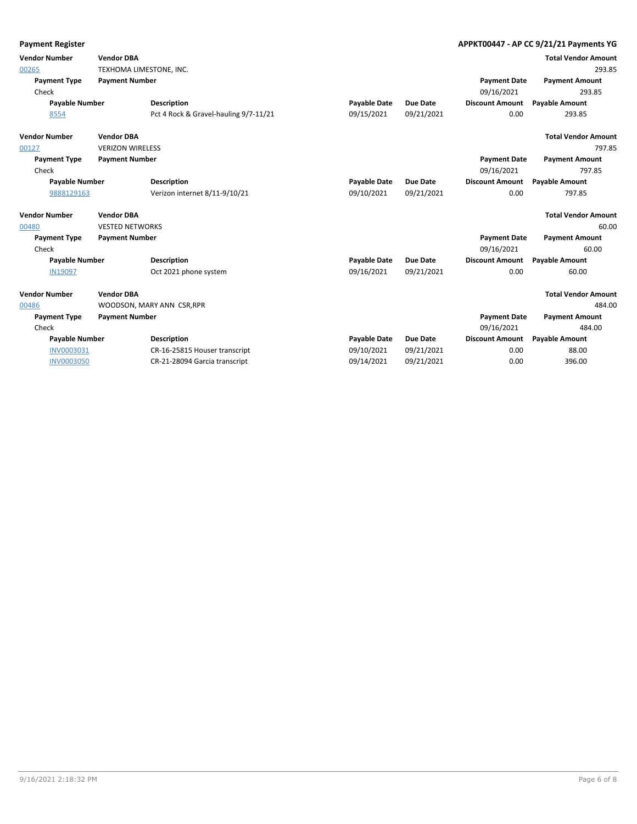| <b>Payment Register</b> |                         |                                       |                     |                 |                        | APPKT00447 - AP CC 9/21/21 Payments YG |
|-------------------------|-------------------------|---------------------------------------|---------------------|-----------------|------------------------|----------------------------------------|
| <b>Vendor Number</b>    | <b>Vendor DBA</b>       |                                       |                     |                 |                        | <b>Total Vendor Amount</b>             |
| 00265                   | TEXHOMA LIMESTONE, INC. |                                       |                     |                 |                        | 293.85                                 |
| <b>Payment Type</b>     | <b>Payment Number</b>   |                                       |                     |                 | <b>Payment Date</b>    | <b>Payment Amount</b>                  |
| Check                   |                         |                                       |                     |                 | 09/16/2021             | 293.85                                 |
| <b>Payable Number</b>   |                         | <b>Description</b>                    | <b>Payable Date</b> | <b>Due Date</b> | <b>Discount Amount</b> | <b>Payable Amount</b>                  |
| 8554                    |                         | Pct 4 Rock & Gravel-hauling 9/7-11/21 | 09/15/2021          | 09/21/2021      | 0.00                   | 293.85                                 |
| <b>Vendor Number</b>    | <b>Vendor DBA</b>       |                                       |                     |                 |                        | <b>Total Vendor Amount</b>             |
| 00127                   | <b>VERIZON WIRELESS</b> |                                       |                     |                 |                        | 797.85                                 |
| <b>Payment Type</b>     | <b>Payment Number</b>   |                                       |                     |                 | <b>Payment Date</b>    | <b>Payment Amount</b>                  |
| Check                   |                         |                                       |                     |                 | 09/16/2021             | 797.85                                 |
| <b>Payable Number</b>   |                         | <b>Description</b>                    | <b>Payable Date</b> | <b>Due Date</b> | <b>Discount Amount</b> | <b>Payable Amount</b>                  |
| 9888129163              |                         | Verizon internet 8/11-9/10/21         | 09/10/2021          | 09/21/2021      | 0.00                   | 797.85                                 |
| <b>Vendor Number</b>    | <b>Vendor DBA</b>       |                                       |                     |                 |                        | <b>Total Vendor Amount</b>             |
| 00480                   | <b>VESTED NETWORKS</b>  |                                       |                     |                 |                        | 60.00                                  |
| <b>Payment Type</b>     | <b>Payment Number</b>   |                                       |                     |                 | <b>Payment Date</b>    | <b>Payment Amount</b>                  |
| Check                   |                         |                                       |                     |                 | 09/16/2021             | 60.00                                  |
| <b>Payable Number</b>   |                         | <b>Description</b>                    | <b>Payable Date</b> | <b>Due Date</b> | <b>Discount Amount</b> | <b>Payable Amount</b>                  |
| <b>IN19097</b>          |                         | Oct 2021 phone system                 | 09/16/2021          | 09/21/2021      | 0.00                   | 60.00                                  |
| <b>Vendor Number</b>    | <b>Vendor DBA</b>       |                                       |                     |                 |                        | <b>Total Vendor Amount</b>             |
| 00486                   |                         | WOODSON, MARY ANN CSR, RPR            |                     |                 |                        | 484.00                                 |
| <b>Payment Type</b>     | <b>Payment Number</b>   |                                       |                     |                 | <b>Payment Date</b>    | <b>Payment Amount</b>                  |
| Check                   |                         |                                       |                     |                 | 09/16/2021             | 484.00                                 |
| <b>Payable Number</b>   |                         | <b>Description</b>                    | <b>Payable Date</b> | <b>Due Date</b> | <b>Discount Amount</b> | <b>Payable Amount</b>                  |
| <b>INV0003031</b>       |                         | CR-16-25815 Houser transcript         | 09/10/2021          | 09/21/2021      | 0.00                   | 88.00                                  |
| <b>INV0003050</b>       |                         | CR-21-28094 Garcia transcript         | 09/14/2021          | 09/21/2021      | 0.00                   | 396.00                                 |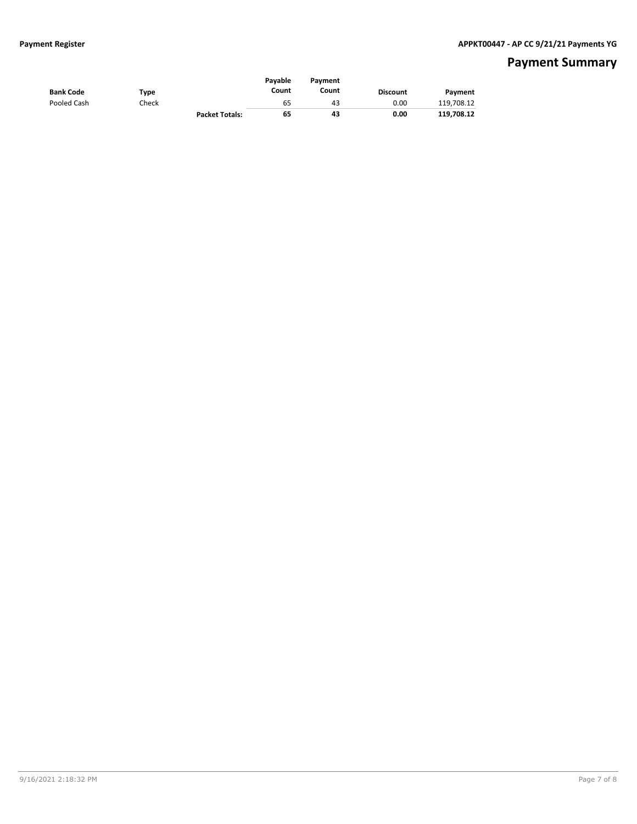## **Payment Summary**

| <b>Bank Code</b> | Type  |                       | Pavable<br>Count | Pavment<br>Count | <b>Discount</b> | Payment    |
|------------------|-------|-----------------------|------------------|------------------|-----------------|------------|
| Pooled Cash      | Check |                       | 65               | 43               | 0.00            | 119,708.12 |
|                  |       | <b>Packet Totals:</b> | 65               | 43               | 0.00            | 119.708.12 |